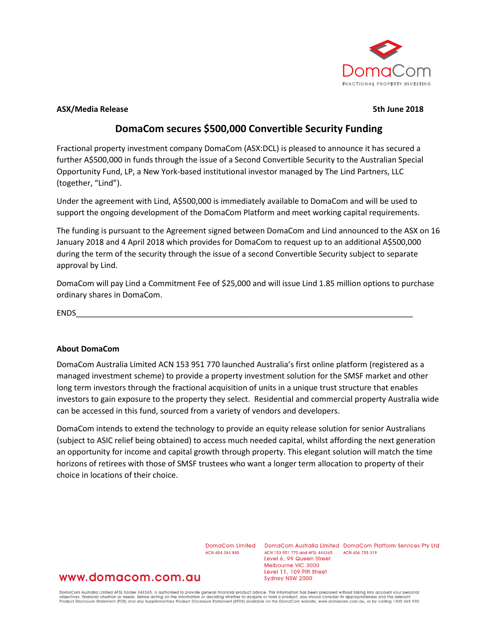

#### **ASX/Media Release 5th June 2018**

# **DomaCom secures \$500,000 Convertible Security Funding**

Fractional property investment company DomaCom (ASX:DCL) is pleased to announce it has secured a further A\$500,000 in funds through the issue of a Second Convertible Security to the Australian Special Opportunity Fund, LP, a New York-based institutional investor managed by The Lind Partners, LLC (together, "Lind").

Under the agreement with Lind, A\$500,000 is immediately available to DomaCom and will be used to support the ongoing development of the DomaCom Platform and meet working capital requirements.

The funding is pursuant to the Agreement signed between DomaCom and Lind announced to the ASX on 16 January 2018 and 4 April 2018 which provides for DomaCom to request up to an additional A\$500,000 during the term of the security through the issue of a second Convertible Security subject to separate approval by Lind.

DomaCom will pay Lind a Commitment Fee of \$25,000 and will issue Lind 1.85 million options to purchase ordinary shares in DomaCom.

ENDS\_\_\_\_\_\_\_\_\_\_\_\_\_\_\_\_\_\_\_\_\_\_\_\_\_\_\_\_\_\_\_\_\_\_\_\_\_\_\_\_\_\_\_\_\_\_\_\_\_\_\_\_\_\_\_\_\_\_\_\_\_\_\_\_\_\_\_\_\_\_\_\_\_\_\_\_\_

## **About DomaCom**

DomaCom Australia Limited ACN 153 951 770 launched Australia's first online platform (registered as a managed investment scheme) to provide a property investment solution for the SMSF market and other long term investors through the fractional acquisition of units in a unique trust structure that enables investors to gain exposure to the property they select. Residential and commercial property Australia wide can be accessed in this fund, sourced from a variety of vendors and developers.

DomaCom intends to extend the technology to provide an equity release solution for senior Australians (subject to ASIC relief being obtained) to access much needed capital, whilst affording the next generation an opportunity for income and capital growth through property. This elegant solution will match the time horizons of retirees with those of SMSF trustees who want a longer term allocation to property of their choice in locations of their choice.

ACN 604 384 885

DomaCom Limited DomaCom Australia Limited DomaCom Platform Services Pty Ltd ACN 153 951 770 and AFSL 444365 ACN 606 755 319 Level 6, 99 Queen Street Melbourne VIC 3000 Level 11, 109 Pitt Street Sydney NSW 2000

## www.domacom.com.au

DomaCom Australia Limited AFSL holder 444365, is authorised to provide general financial product advice. This information has been prepared without taking into account your personal<br>objectives, financial situation or needs